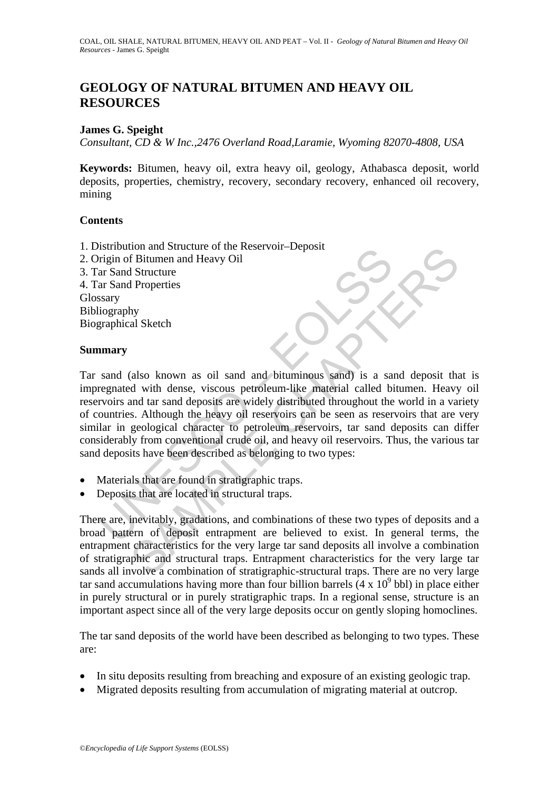# **GEOLOGY OF NATURAL BITUMEN AND HEAVY OIL RESOURCES**

## **James G. Speight**

*Consultant, CD & W Inc.,2476 Overland Road,Laramie, Wyoming 82070-4808, USA* 

**Keywords:** Bitumen, heavy oil, extra heavy oil, geology, Athabasca deposit, world deposits, properties, chemistry, recovery, secondary recovery, enhanced oil recovery, mining

### **Contents**

- 1. Distribution and Structure of the Reservoir–Deposit
- 2. Origin of Bitumen and Heavy Oil
- 3. Tar Sand Structure 4. Tar Sand Properties

Glossary Bibliography Biographical Sketch

### **Summary**

Surfuturion and Heavy Oil<br>
The research of Bitumen and Heavy Oil<br>
ar Sand Structure<br>
ar Sand Properties<br>
sary<br>
liography<br>
sand (also known as oil sand and bituminous sand) is a sa<br>
regnated with dense, viscous petroleum-li The structure of the Reservoir-Deposit<br>
If Bitumen and Heavy Oil<br>
If Bitumen and Heavy Oil<br>
If Bitumen and Heavy Oil<br>
Structure<br>
Ally Share are widely distributed through the stress<br>
Although the heavy oil reservoirs can b Tar sand (also known as oil sand and bituminous sand) is a sand deposit that is impregnated with dense, viscous petroleum-like material called bitumen. Heavy oil reservoirs and tar sand deposits are widely distributed throughout the world in a variety of countries. Although the heavy oil reservoirs can be seen as reservoirs that are very similar in geological character to petroleum reservoirs, tar sand deposits can differ considerably from conventional crude oil, and heavy oil reservoirs. Thus, the various tar sand deposits have been described as belonging to two types:

- Materials that are found in stratigraphic traps.
- Deposits that are located in structural traps.

There are, inevitably, gradations, and combinations of these two types of deposits and a broad pattern of deposit entrapment are believed to exist. In general terms, the entrapment characteristics for the very large tar sand deposits all involve a combination of stratigraphic and structural traps. Entrapment characteristics for the very large tar sands all involve a combination of stratigraphic-structural traps. There are no very large tar sand accumulations having more than four billion barrels  $(4 \times 10^9 \text{ b})$  in place either in purely structural or in purely stratigraphic traps. In a regional sense, structure is an important aspect since all of the very large deposits occur on gently sloping homoclines.

The tar sand deposits of the world have been described as belonging to two types. These are:

- In situ deposits resulting from breaching and exposure of an existing geologic trap.
- Migrated deposits resulting from accumulation of migrating material at outcrop.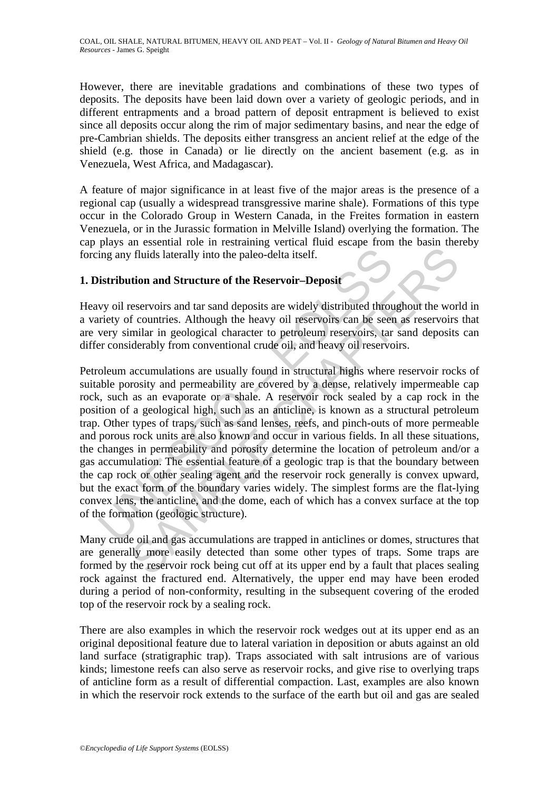However, there are inevitable gradations and combinations of these two types of deposits. The deposits have been laid down over a variety of geologic periods, and in different entrapments and a broad pattern of deposit entrapment is believed to exist since all deposits occur along the rim of major sedimentary basins, and near the edge of pre-Cambrian shields. The deposits either transgress an ancient relief at the edge of the shield (e.g. those in Canada) or lie directly on the ancient basement (e.g. as in Venezuela, West Africa, and Madagascar).

A feature of major significance in at least five of the major areas is the presence of a regional cap (usually a widespread transgressive marine shale). Formations of this type occur in the Colorado Group in Western Canada, in the Freites formation in eastern Venezuela, or in the Jurassic formation in Melville Island) overlying the formation. The cap plays an essential role in restraining vertical fluid escape from the basin thereby forcing any fluids laterally into the paleo-delta itself.

## **1. Distribution and Structure of the Reservoir–Deposit**

Heavy oil reservoirs and tar sand deposits are widely distributed throughout the world in a variety of countries. Although the heavy oil reservoirs can be seen as reservoirs that are very similar in geological character to petroleum reservoirs, tar sand deposits can differ considerably from conventional crude oil, and heavy oil reservoirs.

ing any fluids laterally into the paleo-delta itself.<br>
ing any fluids laterally into the paleo-delta itself.<br>
vy oil reservoirs and tar sand deposits are widely distributed throu<br>
vry oil reservoirs and tar sand deposits a Thuids laterally into the paleo-delta itself.<br>
It fluids laterally into the paleo-delta itself.<br>
Ition and Structure of the Reservoir-Deposit<br>
reservoirs can be seen as reservoirs<br>
imilar in geological character to petrole Petroleum accumulations are usually found in structural highs where reservoir rocks of suitable porosity and permeability are covered by a dense, relatively impermeable cap rock, such as an evaporate or a shale. A reservoir rock sealed by a cap rock in the position of a geological high, such as an anticline, is known as a structural petroleum trap. Other types of traps, such as sand lenses, reefs, and pinch-outs of more permeable and porous rock units are also known and occur in various fields. In all these situations, the changes in permeability and porosity determine the location of petroleum and/or a gas accumulation. The essential feature of a geologic trap is that the boundary between the cap rock or other sealing agent and the reservoir rock generally is convex upward, but the exact form of the boundary varies widely. The simplest forms are the flat-lying convex lens, the anticline, and the dome, each of which has a convex surface at the top of the formation (geologic structure).

Many crude oil and gas accumulations are trapped in anticlines or domes, structures that are generally more easily detected than some other types of traps. Some traps are formed by the reservoir rock being cut off at its upper end by a fault that places sealing rock against the fractured end. Alternatively, the upper end may have been eroded during a period of non-conformity, resulting in the subsequent covering of the eroded top of the reservoir rock by a sealing rock.

There are also examples in which the reservoir rock wedges out at its upper end as an original depositional feature due to lateral variation in deposition or abuts against an old land surface (stratigraphic trap). Traps associated with salt intrusions are of various kinds; limestone reefs can also serve as reservoir rocks, and give rise to overlying traps of anticline form as a result of differential compaction. Last, examples are also known in which the reservoir rock extends to the surface of the earth but oil and gas are sealed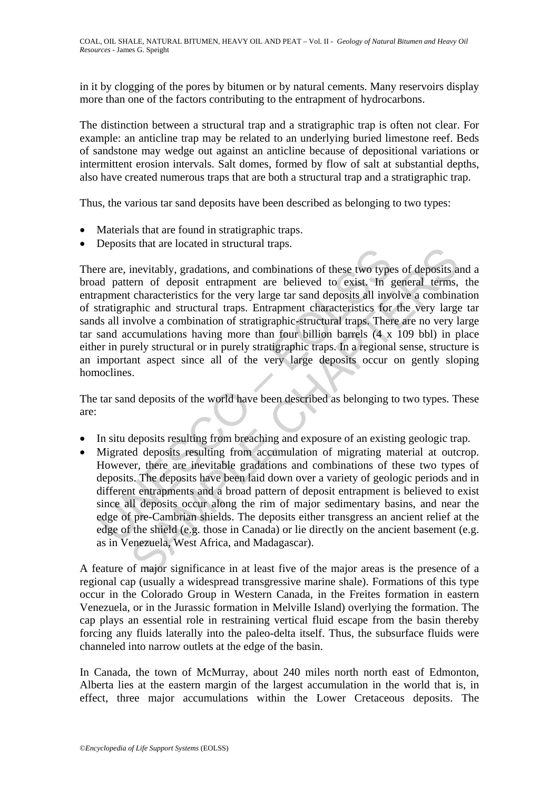in it by clogging of the pores by bitumen or by natural cements. Many reservoirs display more than one of the factors contributing to the entrapment of hydrocarbons.

The distinction between a structural trap and a stratigraphic trap is often not clear. For example: an anticline trap may be related to an underlying buried limestone reef. Beds of sandstone may wedge out against an anticline because of depositional variations or intermittent erosion intervals. Salt domes, formed by flow of salt at substantial depths, also have created numerous traps that are both a structural trap and a stratigraphic trap.

Thus, the various tar sand deposits have been described as belonging to two types:

- Materials that are found in stratigraphic traps.
- Deposits that are located in structural traps.

Experience and structure in structure in structure in the control of these two type<br>of pattern of deposit entrapment are believed to exist. In gapment characteristics for the very large tar sand deposits all involves a str inevitably, gradations, and combinations of these two types of deposits and and the enerm of deposit entrapment are believed to exist. In general terms, characteristics for the very large are sheved to exist. The general t There are, inevitably, gradations, and combinations of these two types of deposits and a broad pattern of deposit entrapment are believed to exist. In general terms, the entrapment characteristics for the very large tar sand deposits all involve a combination of stratigraphic and structural traps. Entrapment characteristics for the very large tar sands all involve a combination of stratigraphic-structural traps. There are no very large tar sand accumulations having more than four billion barrels (4 x 109 bbl) in place either in purely structural or in purely stratigraphic traps. In a regional sense, structure is an important aspect since all of the very large deposits occur on gently sloping homoclines.

The tar sand deposits of the world have been described as belonging to two types. These are:

- In situ deposits resulting from breaching and exposure of an existing geologic trap.
- Migrated deposits resulting from accumulation of migrating material at outcrop. However, there are inevitable gradations and combinations of these two types of deposits. The deposits have been laid down over a variety of geologic periods and in different entrapments and a broad pattern of deposit entrapment is believed to exist since all deposits occur along the rim of major sedimentary basins, and near the edge of pre-Cambrian shields. The deposits either transgress an ancient relief at the edge of the shield (e.g. those in Canada) or lie directly on the ancient basement (e.g. as in Venezuela, West Africa, and Madagascar).

A feature of major significance in at least five of the major areas is the presence of a regional cap (usually a widespread transgressive marine shale). Formations of this type occur in the Colorado Group in Western Canada, in the Freites formation in eastern Venezuela, or in the Jurassic formation in Melville Island) overlying the formation. The cap plays an essential role in restraining vertical fluid escape from the basin thereby forcing any fluids laterally into the paleo-delta itself. Thus, the subsurface fluids were channeled into narrow outlets at the edge of the basin.

In Canada, the town of McMurray, about 240 miles north north east of Edmonton, Alberta lies at the eastern margin of the largest accumulation in the world that is, in effect, three major accumulations within the Lower Cretaceous deposits. The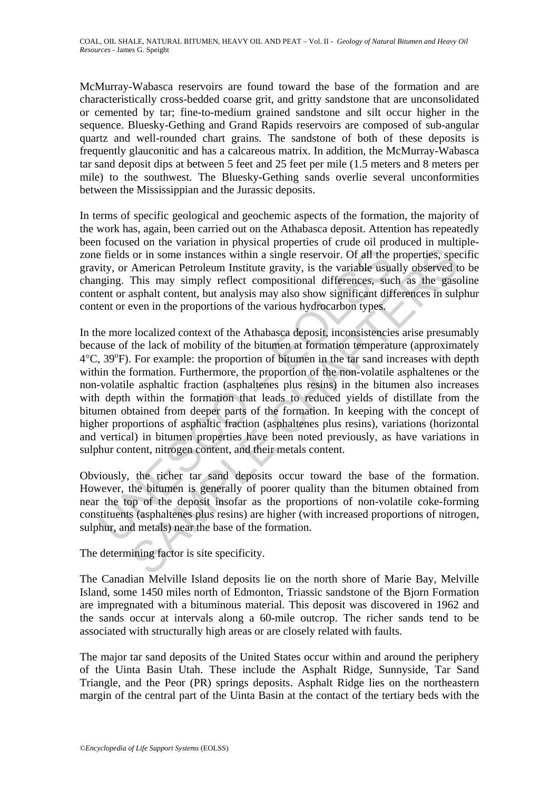McMurray-Wabasca reservoirs are found toward the base of the formation and are characteristically cross-bedded coarse grit, and gritty sandstone that are unconsolidated or cemented by tar; fine-to-medium grained sandstone and silt occur higher in the sequence. Bluesky-Gething and Grand Rapids reservoirs are composed of sub-angular quartz and well-rounded chart grains. The sandstone of both of these deposits is frequently glauconitic and has a calcareous matrix. In addition, the McMurray-Wabasca tar sand deposit dips at between 5 feet and 25 feet per mile (1.5 meters and 8 meters per mile) to the southwest. The Bluesky-Gething sands overlie several unconformities between the Mississippian and the Jurassic deposits.

In terms of specific geological and geochemic aspects of the formation, the majority of the work has, again, been carried out on the Athabasca deposit. Attention has repeatedly been focused on the variation in physical properties of crude oil produced in multiplezone fields or in some instances within a single reservoir. Of all the properties, specific gravity, or American Petroleum Institute gravity, is the variable usually observed to be changing. This may simply reflect compositional differences, such as the gasoline content or asphalt content, but analysis may also show significant differences in sulphur content or even in the proportions of the various hydrocarbon types.

e fields or in some instances within a single reservoir. Of all the rity, or American Petroleum Institute gravity, is the variable usuaging. This may simply reflect compositional differences, sucent or asphalt content, but or in some instances within a single reservoir. Of all the properties, speed and the compositional differences, such as the gas<br>
American Petroleum Institute gravity, is the variable usually observed this may simply reflec In the more localized context of the Athabasca deposit, inconsistencies arise presumably because of the lack of mobility of the bitumen at formation temperature (approximately  $4^{\circ}$ C,  $39^{\circ}$ F). For example: the proportion of bitumen in the tar sand increases with depth within the formation. Furthermore, the proportion of the non-volatile asphaltenes or the non-volatile asphaltic fraction (asphaltenes plus resins) in the bitumen also increases with depth within the formation that leads to reduced yields of distillate from the bitumen obtained from deeper parts of the formation. In keeping with the concept of higher proportions of asphaltic fraction (asphaltenes plus resins), variations (horizontal and vertical) in bitumen properties have been noted previously, as have variations in sulphur content, nitrogen content, and their metals content.

Obviously, the richer tar sand deposits occur toward the base of the formation. However, the bitumen is generally of poorer quality than the bitumen obtained from near the top of the deposit insofar as the proportions of non-volatile coke-forming constituents (asphaltenes plus resins) are higher (with increased proportions of nitrogen, sulphur, and metals) near the base of the formation.

The determining factor is site specificity.

The Canadian Melville Island deposits lie on the north shore of Marie Bay, Melville Island, some 1450 miles north of Edmonton, Triassic sandstone of the Bjorn Formation are impregnated with a bituminous material. This deposit was discovered in 1962 and the sands occur at intervals along a 60-mile outcrop. The richer sands tend to be associated with structurally high areas or are closely related with faults.

The major tar sand deposits of the United States occur within and around the periphery of the Uinta Basin Utah. These include the Asphalt Ridge, Sunnyside, Tar Sand Triangle, and the Peor (PR) springs deposits. Asphalt Ridge lies on the northeastern margin of the central part of the Uinta Basin at the contact of the tertiary beds with the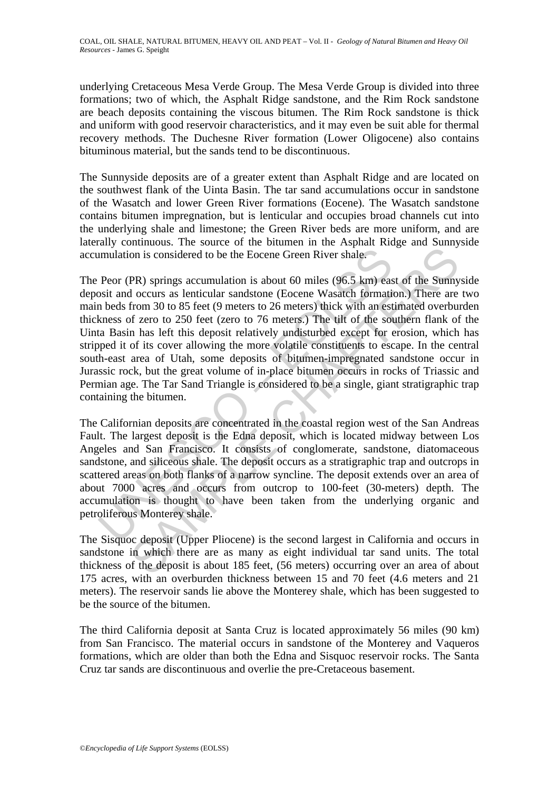underlying Cretaceous Mesa Verde Group. The Mesa Verde Group is divided into three formations; two of which, the Asphalt Ridge sandstone, and the Rim Rock sandstone are beach deposits containing the viscous bitumen. The Rim Rock sandstone is thick and uniform with good reservoir characteristics, and it may even be suit able for thermal recovery methods. The Duchesne River formation (Lower Oligocene) also contains bituminous material, but the sands tend to be discontinuous.

The Sunnyside deposits are of a greater extent than Asphalt Ridge and are located on the southwest flank of the Uinta Basin. The tar sand accumulations occur in sandstone of the Wasatch and lower Green River formations (Eocene). The Wasatch sandstone contains bitumen impregnation, but is lenticular and occupies broad channels cut into the underlying shale and limestone; the Green River beds are more uniform, and are laterally continuous. The source of the bitumen in the Asphalt Ridge and Sunnyside accumulation is considered to be the Eocene Green River shale.

mulation is considered to be the Eocene Green River shale.<br>
Peor (PR) springs accumulation is about 60 miles (96.5 km) eassit and occurs as lenticular sandstone (Eocene Wasatch formation<br>
in heds from 30 to 85 feet (9 mete on is considered to be the Eocene Green River shale.<br>
PR) springs accumulation is about 60 miles (96.5 km) east of the Sumny<br>
doccurs as lenticular sandstone (Eocene Wasatch formation.) There are<br>
from 30 to 85 feet (9 me The Peor (PR) springs accumulation is about 60 miles (96.5 km) east of the Sunnyside deposit and occurs as lenticular sandstone (Eocene Wasatch formation.) There are two main beds from 30 to 85 feet (9 meters to 26 meters) thick with an estimated overburden thickness of zero to 250 feet (zero to 76 meters.) The tilt of the southern flank of the Uinta Basin has left this deposit relatively undisturbed except for erosion, which has stripped it of its cover allowing the more volatile constituents to escape. In the central south-east area of Utah, some deposits of bitumen-impregnated sandstone occur in Jurassic rock, but the great volume of in-place bitumen occurs in rocks of Triassic and Permian age. The Tar Sand Triangle is considered to be a single, giant stratigraphic trap containing the bitumen.

The Californian deposits are concentrated in the coastal region west of the San Andreas Fault. The largest deposit is the Edna deposit, which is located midway between Los Angeles and San Francisco. It consists of conglomerate, sandstone, diatomaceous sandstone, and siliceous shale. The deposit occurs as a stratigraphic trap and outcrops in scattered areas on both flanks of a narrow syncline. The deposit extends over an area of about 7000 acres and occurs from outcrop to 100-feet (30-meters) depth. The accumulation is thought to have been taken from the underlying organic and petroliferous Monterey shale.

The Sisquoc deposit (Upper Pliocene) is the second largest in California and occurs in sandstone in which there are as many as eight individual tar sand units. The total thickness of the deposit is about 185 feet, (56 meters) occurring over an area of about 175 acres, with an overburden thickness between 15 and 70 feet (4.6 meters and 21 meters). The reservoir sands lie above the Monterey shale, which has been suggested to be the source of the bitumen.

The third California deposit at Santa Cruz is located approximately 56 miles (90 km) from San Francisco. The material occurs in sandstone of the Monterey and Vaqueros formations, which are older than both the Edna and Sisquoc reservoir rocks. The Santa Cruz tar sands are discontinuous and overlie the pre-Cretaceous basement.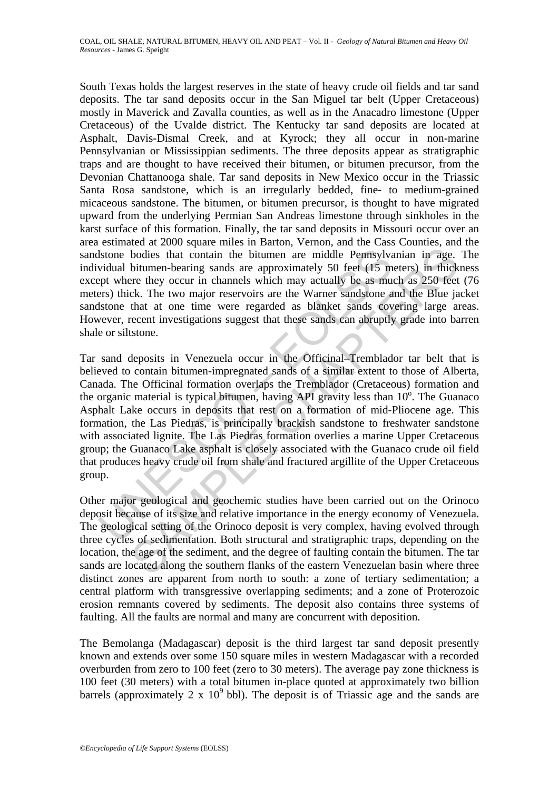South Texas holds the largest reserves in the state of heavy crude oil fields and tar sand deposits. The tar sand deposits occur in the San Miguel tar belt (Upper Cretaceous) mostly in Maverick and Zavalla counties, as well as in the Anacadro limestone (Upper Cretaceous) of the Uvalde district. The Kentucky tar sand deposits are located at Asphalt, Davis-Dismal Creek, and at Kyrock; they all occur in non-marine Pennsylvanian or Mississippian sediments. The three deposits appear as stratigraphic traps and are thought to have received their bitumen, or bitumen precursor, from the Devonian Chattanooga shale. Tar sand deposits in New Mexico occur in the Triassic Santa Rosa sandstone, which is an irregularly bedded, fine- to medium-grained micaceous sandstone. The bitumen, or bitumen precursor, is thought to have migrated upward from the underlying Permian San Andreas limestone through sinkholes in the karst surface of this formation. Finally, the tar sand deposits in Missouri occur over an area estimated at 2000 square miles in Barton, Vernon, and the Cass Counties, and the sandstone bodies that contain the bitumen are middle Pennsylvanian in age. The individual bitumen-bearing sands are approximately 50 feet (15 meters) in thickness except where they occur in channels which may actually be as much as 250 feet (76) meters) thick. The two major reservoirs are the Warner sandstone and the Blue jacket sandstone that at one time were regarded as blanket sands covering large areas. However, recent investigations suggest that these sands can abruptly grade into barren shale or siltstone.

Istone bodies that contain the bitumen are middle Pennsylvation bitumen-bearing sands are approximately 50 feet (15 m<br>ppt where they occur in channels which may actually be as muers) thick. The two major reservoirs are the bodies that contain the bitumen are middle Pennsylvanian in age.<br>bitumen-bearing sands are approximately 50 feet (15 meters) in thick<br>retre they occur in channels which may actually be as much as 250 feet<br>ck. The two major Tar sand deposits in Venezuela occur in the Officinal–Tremblador tar belt that is believed to contain bitumen-impregnated sands of a similar extent to those of Alberta, Canada. The Officinal formation overlaps the Tremblador (Cretaceous) formation and the organic material is typical bitumen, having API gravity less than 10°. The Guanaco Asphalt Lake occurs in deposits that rest on a formation of mid-Pliocene age. This formation, the Las Piedras, is principally brackish sandstone to freshwater sandstone with associated lignite. The Las Piedras formation overlies a marine Upper Cretaceous group; the Guanaco Lake asphalt is closely associated with the Guanaco crude oil field that produces heavy crude oil from shale and fractured argillite of the Upper Cretaceous group.

Other major geological and geochemic studies have been carried out on the Orinoco deposit because of its size and relative importance in the energy economy of Venezuela. The geological setting of the Orinoco deposit is very complex, having evolved through three cycles of sedimentation. Both structural and stratigraphic traps, depending on the location, the age of the sediment, and the degree of faulting contain the bitumen. The tar sands are located along the southern flanks of the eastern Venezuelan basin where three distinct zones are apparent from north to south: a zone of tertiary sedimentation; a central platform with transgressive overlapping sediments; and a zone of Proterozoic erosion remnants covered by sediments. The deposit also contains three systems of faulting. All the faults are normal and many are concurrent with deposition.

The Bemolanga (Madagascar) deposit is the third largest tar sand deposit presently known and extends over some 150 square miles in western Madagascar with a recorded overburden from zero to 100 feet (zero to 30 meters). The average pay zone thickness is 100 feet (30 meters) with a total bitumen in-place quoted at approximately two billion barrels (approximately 2 x  $10^9$  bbl). The deposit is of Triassic age and the sands are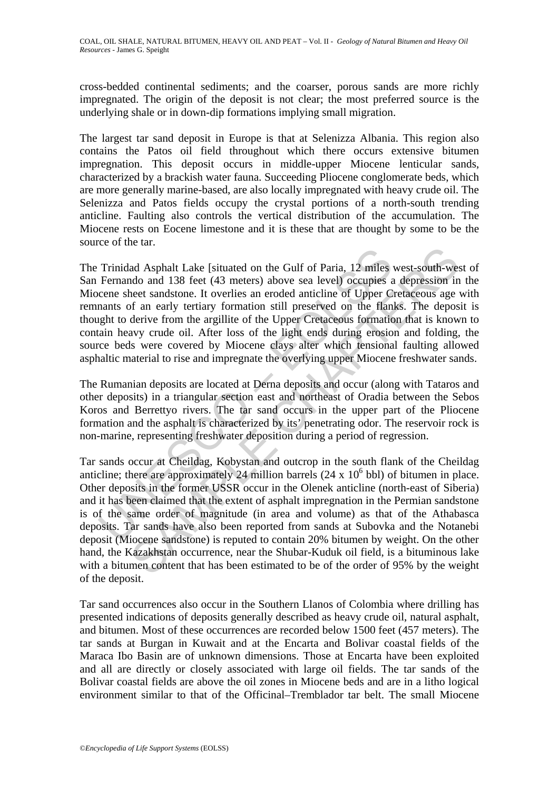cross-bedded continental sediments; and the coarser, porous sands are more richly impregnated. The origin of the deposit is not clear; the most preferred source is the underlying shale or in down-dip formations implying small migration.

The largest tar sand deposit in Europe is that at Selenizza Albania. This region also contains the Patos oil field throughout which there occurs extensive bitumen impregnation. This deposit occurs in middle-upper Miocene lenticular sands, characterized by a brackish water fauna. Succeeding Pliocene conglomerate beds, which are more generally marine-based, are also locally impregnated with heavy crude oil. The Selenizza and Patos fields occupy the crystal portions of a north-south trending anticline. Faulting also controls the vertical distribution of the accumulation. The Miocene rests on Eocene limestone and it is these that are thought by some to be the source of the tar.

Trinidad Asphalt Lake [situated on the Gulf of Paria, 12 miles<br>Fernando and 138 feet (43 meters) above sea level) occupies a<br>cene sheet sandstone. It overlies an eroded anticline of Upper C<br>nants of an early tertiary form The Trinidad Asphalt Lake [situated on the Gulf of Paria, 12 miles west-south-west of San Fernando and 138 feet (43 meters) above sea level) occupies a depression in the Miocene sheet sandstone. It overlies an eroded anticline of Upper Cretaceous age with remnants of an early tertiary formation still preserved on the flanks. The deposit is thought to derive from the argillite of the Upper Cretaceous formation that is known to contain heavy crude oil. After loss of the light ends during erosion and folding, the source beds were covered by Miocene clays alter which tensional faulting allowed asphaltic material to rise and impregnate the overlying upper Miocene freshwater sands.

The Rumanian deposits are located at Derna deposits and occur (along with Tataros and other deposits) in a triangular section east and northeast of Oradia between the Sebos Koros and Berrettyo rivers. The tar sand occurs in the upper part of the Pliocene formation and the asphalt is characterized by its' penetrating odor. The reservoir rock is non-marine, representing freshwater deposition during a period of regression.

a. Asphalt Lake [situated on the Gulf of Paria, 12 miles west-south-weado and ASphalt Lake [situated on the Gulf of Paria, 12 miles west-south-weado and 138 feet (43 meters) above sea level) occupies a depression in energ Tar sands occur at Cheildag, Kobystan and outcrop in the south flank of the Cheildag anticline; there are approximately 24 million barrels  $(24 \times 10^6 \text{ bbl})$  of bitumen in place. Other deposits in the former USSR occur in the Olenek anticline (north-east of Siberia) and it has been claimed that the extent of asphalt impregnation in the Permian sandstone is of the same order of magnitude (in area and volume) as that of the Athabasca deposits. Tar sands have also been reported from sands at Subovka and the Notanebi deposit (Miocene sandstone) is reputed to contain 20% bitumen by weight. On the other hand, the Kazakhstan occurrence, near the Shubar-Kuduk oil field, is a bituminous lake with a bitumen content that has been estimated to be of the order of 95% by the weight of the deposit.

Tar sand occurrences also occur in the Southern Llanos of Colombia where drilling has presented indications of deposits generally described as heavy crude oil, natural asphalt, and bitumen. Most of these occurrences are recorded below 1500 feet (457 meters). The tar sands at Burgan in Kuwait and at the Encarta and Bolivar coastal fields of the Maraca Ibo Basin are of unknown dimensions. Those at Encarta have been exploited and all are directly or closely associated with large oil fields. The tar sands of the Bolivar coastal fields are above the oil zones in Miocene beds and are in a litho logical environment similar to that of the Officinal–Tremblador tar belt. The small Miocene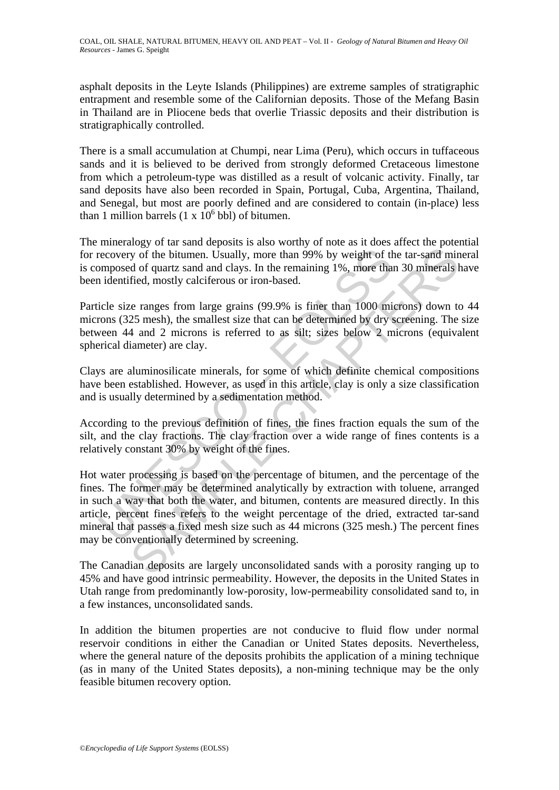asphalt deposits in the Leyte Islands (Philippines) are extreme samples of stratigraphic entrapment and resemble some of the Californian deposits. Those of the Mefang Basin in Thailand are in Pliocene beds that overlie Triassic deposits and their distribution is stratigraphically controlled.

There is a small accumulation at Chumpi, near Lima (Peru), which occurs in tuffaceous sands and it is believed to be derived from strongly deformed Cretaceous limestone from which a petroleum-type was distilled as a result of volcanic activity. Finally, tar sand deposits have also been recorded in Spain, Portugal, Cuba, Argentina, Thailand, and Senegal, but most are poorly defined and are considered to contain (in-place) less than 1 million barrels  $(1 \times 10^6 \text{ b})$  of bitumen.

The mineralogy of tar sand deposits is also worthy of note as it does affect the potential for recovery of the bitumen. Usually, more than 99% by weight of the tar-sand mineral is composed of quartz sand and clays. In the remaining 1%, more than 30 minerals have been identified, mostly calciferous or iron-based.

Particle size ranges from large grains (99.9% is finer than 1000 microns) down to 44 microns (325 mesh), the smallest size that can be determined by dry screening. The size between 44 and 2 microns is referred to as silt; sizes below 2 microns (equivalent spherical diameter) are clay.

Clays are aluminosilicate minerals, for some of which definite chemical compositions have been established. However, as used in this article, clay is only a size classification and is usually determined by a sedimentation method.

According to the previous definition of fines, the fines fraction equals the sum of the silt, and the clay fractions. The clay fraction over a wide range of fines contents is a relatively constant 30% by weight of the fines.

recovery of the bitumen. Usually, more than 99% by weight of th<br>omposed of quartz sand and clays. In the remaining 1%, more than<br>identified, mostly calciferous or iron-based.<br>icle size ranges from large grains (99.9% is fi by of the bitumen. Usually, more than 99% by weight of the tar-sand mind of quartz sand and clays. In the remaining 1%, more than 30 minerals lfied, mostly calciferous or iron-based.<br>
Ee ranges from large grains (99.9% is Hot water processing is based on the percentage of bitumen, and the percentage of the fines. The former may be determined analytically by extraction with toluene, arranged in such a way that both the water, and bitumen, contents are measured directly. In this article, percent fines refers to the weight percentage of the dried, extracted tar-sand mineral that passes a fixed mesh size such as 44 microns (325 mesh.) The percent fines may be conventionally determined by screening.

The Canadian deposits are largely unconsolidated sands with a porosity ranging up to 45% and have good intrinsic permeability. However, the deposits in the United States in Utah range from predominantly low-porosity, low-permeability consolidated sand to, in a few instances, unconsolidated sands.

In addition the bitumen properties are not conducive to fluid flow under normal reservoir conditions in either the Canadian or United States deposits. Nevertheless, where the general nature of the deposits prohibits the application of a mining technique (as in many of the United States deposits), a non-mining technique may be the only feasible bitumen recovery option.